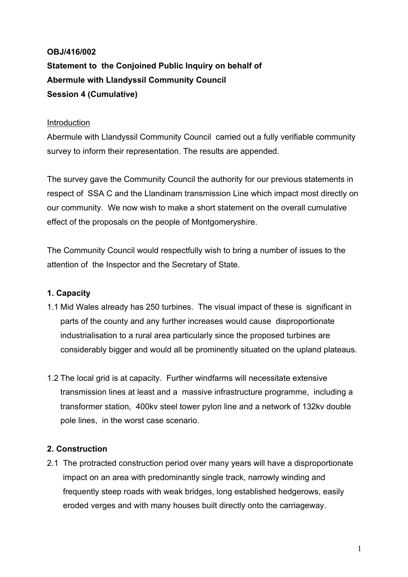# **OBJ/416/002 Statement to the Conjoined Public Inquiry on behalf of Abermule with Llandyssil Community Council Session 4 (Cumulative)**

### Introduction

Abermule with Llandyssil Community Council carried out a fully verifiable community survey to inform their representation. The results are appended.

The survey gave the Community Council the authority for our previous statements in respect of SSA C and the Llandinam transmission Line which impact most directly on our community. We now wish to make a short statement on the overall cumulative effect of the proposals on the people of Montgomeryshire.

The Community Council would respectfully wish to bring a number of issues to the attention of the Inspector and the Secretary of State.

# **1. Capacity**

- 1.1 Mid Wales already has 250 turbines. The visual impact of these is significant in parts of the county and any further increases would cause disproportionate industrialisation to a rural area particularly since the proposed turbines are considerably bigger and would all be prominently situated on the upland plateaus.
- 1.2 The local grid is at capacity. Further windfarms will necessitate extensive transmission lines at least and a massive infrastructure programme, including a transformer station, 400kv steel tower pylon line and a network of 132kv double pole lines, in the worst case scenario.

# **2. Construction**

2.1 The protracted construction period over many years will have a disproportionate impact on an area with predominantly single track, narrowly winding and frequently steep roads with weak bridges, long established hedgerows, easily eroded verges and with many houses built directly onto the carriageway.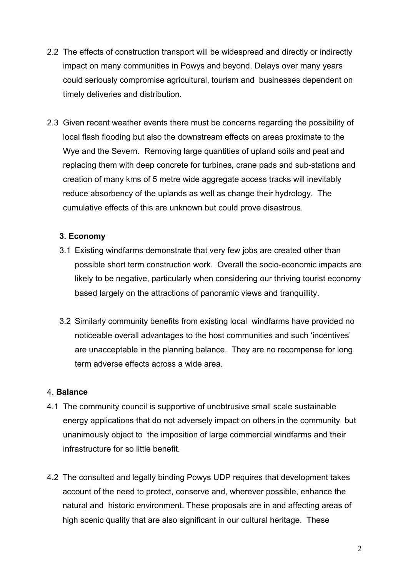- 2.2 The effects of construction transport will be widespread and directly or indirectly impact on many communities in Powys and beyond. Delays over many years could seriously compromise agricultural, tourism and businesses dependent on timely deliveries and distribution.
- 2.3 Given recent weather events there must be concerns regarding the possibility of local flash flooding but also the downstream effects on areas proximate to the Wye and the Severn. Removing large quantities of upland soils and peat and replacing them with deep concrete for turbines, crane pads and sub-stations and creation of many kms of 5 metre wide aggregate access tracks will inevitably reduce absorbency of the uplands as well as change their hydrology. The cumulative effects of this are unknown but could prove disastrous.

## **3. Economy**

- 3.1 Existing windfarms demonstrate that very few jobs are created other than possible short term construction work. Overall the socio-economic impacts are likely to be negative, particularly when considering our thriving tourist economy based largely on the attractions of panoramic views and tranquillity.
- 3.2 Similarly community benefits from existing local windfarms have provided no noticeable overall advantages to the host communities and such 'incentives' are unacceptable in the planning balance. They are no recompense for long term adverse effects across a wide area.

#### 4. **Balance**

- 4.1 The community council is supportive of unobtrusive small scale sustainable energy applications that do not adversely impact on others in the community but unanimously object to the imposition of large commercial windfarms and their infrastructure for so little benefit.
- 4.2 The consulted and legally binding Powys UDP requires that development takes account of the need to protect, conserve and, wherever possible, enhance the natural and historic environment. These proposals are in and affecting areas of high scenic quality that are also significant in our cultural heritage. These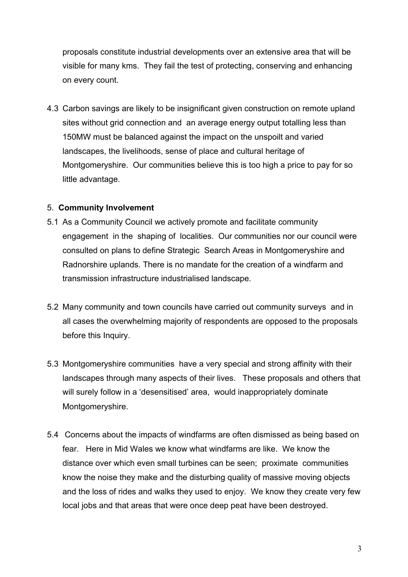proposals constitute industrial developments over an extensive area that will be visible for many kms. They fail the test of protecting, conserving and enhancing on every count.

4.3 Carbon savings are likely to be insignificant given construction on remote upland sites without grid connection and an average energy output totalling less than 150MW must be balanced against the impact on the unspoilt and varied landscapes, the livelihoods, sense of place and cultural heritage of Montgomeryshire. Our communities believe this is too high a price to pay for so little advantage.

#### 5. **Community Involvement**

- 5.1 As a Community Council we actively promote and facilitate community engagement in the shaping of localities. Our communities nor our council were consulted on plans to define Strategic Search Areas in Montgomeryshire and Radnorshire uplands. There is no mandate for the creation of a windfarm and transmission infrastructure industrialised landscape.
- 5.2 Many community and town councils have carried out community surveys and in all cases the overwhelming majority of respondents are opposed to the proposals before this Inquiry.
- 5.3 Montgomeryshire communities have a very special and strong affinity with their landscapes through many aspects of their lives. These proposals and others that will surely follow in a 'desensitised' area, would inappropriately dominate Montgomeryshire.
- 5.4 Concerns about the impacts of windfarms are often dismissed as being based on fear. Here in Mid Wales we know what windfarms are like. We know the distance over which even small turbines can be seen; proximate communities know the noise they make and the disturbing quality of massive moving objects and the loss of rides and walks they used to enjoy. We know they create very few local jobs and that areas that were once deep peat have been destroyed.